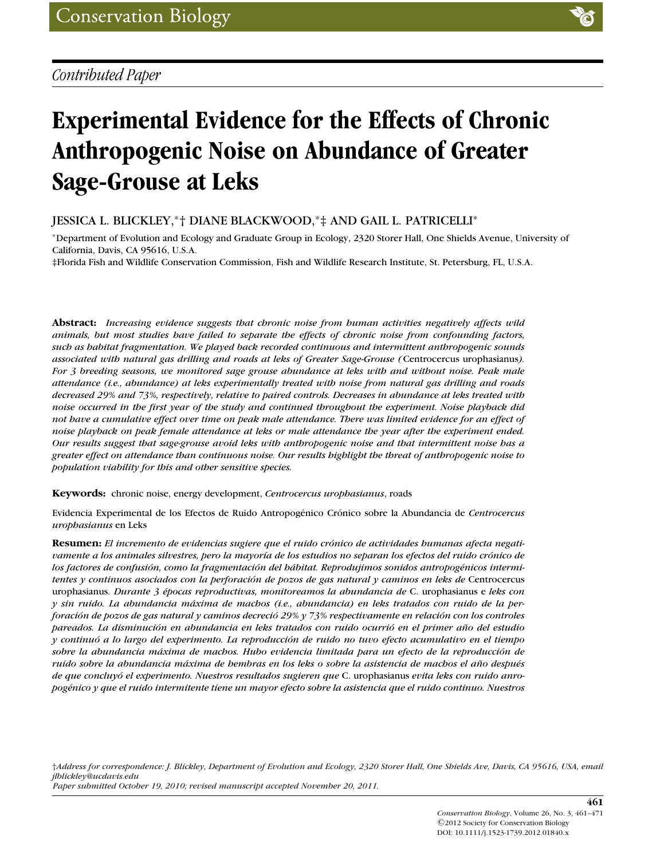# **Experimental Evidence for the Effects of Chronic Anthropogenic Noise on Abundance of Greater Sage-Grouse at Leks**

# JESSICA L. BLICKLEY,∗† DIANE BLACKWOOD,∗‡ AND GAIL L. PATRICELLI<sup>∗</sup>

<sup>∗</sup>Department of Evolution and Ecology and Graduate Group in Ecology, 2320 Storer Hall, One Shields Avenue, University of California, Davis, CA 95616, U.S.A.

‡Florida Fish and Wildlife Conservation Commission, Fish and Wildlife Research Institute, St. Petersburg, FL, U.S.A.

**Abstract:** *Increasing evidence suggests that chronic noise from human activities negatively affects wild animals, but most studies have failed to separate the effects of chronic noise from confounding factors, such as habitat fragmentation. We played back recorded continuous and intermittent anthropogenic sounds associated with natural gas drilling and roads at leks of Greater Sage-Grouse (*Centrocercus urophasianus*). For 3 breeding seasons, we monitored sage grouse abundance at leks with and without noise. Peak male attendance (i.e., abundance) at leks experimentally treated with noise from natural gas drilling and roads decreased 29% and 73%, respectively, relative to paired controls. Decreases in abundance at leks treated with noise occurred in the first year of the study and continued throughout the experiment. Noise playback did not have a cumulative effect over time on peak male attendance. There was limited evidence for an effect of noise playback on peak female attendance at leks or male attendance the year after the experiment ended. Our results suggest that sage-grouse avoid leks with anthropogenic noise and that intermittent noise has a greater effect on attendance than continuous noise. Our results highlight the threat of anthropogenic noise to population viability for this and other sensitive species.*

**Keywords:** chronic noise, energy development, *Centrocercus urophasianus*, roads

Evidencia Experimental de los Efectos de Ruido Antropogénico Crónico sobre la Abundancia de Centrocercus *urophasianus* en Leks

**Resumen:** *El incremento de evidencias sugiere que el ruido cronico de actividades humanas afecta negati- ´ vamente a los animales silvestres, pero la mayor´ıa de los estudios no separan los efectos del ruido cronico de ´* los factores de confusión, como la fragmentación del bábitat. Reprodujimos sonidos antropogénicos intermi*tentes y continuos asociados con la perforacion de pozos de gas natural y caminos en leks de ´* Centrocercus urophasianus. *Durante 3 ´epocas reproductivas, monitoreamos la abundancia de* C. urophasianus e *leks con y sin ruido. La abundancia maxima de machos (i.e., abundancia) en leks tratados con ruido de la per- ´ foracion de pozos de gas natural y caminos decreci ´ o 29% y 73% respectivamente en relaci ´ on con los controles ´ pareados. La disminucion en abundancia en leks tratados con ruido ocurri ´ o en el primer a ´ no del estudio ˜ y continuo a lo largo del experimento. La reproducci ´ on de ruido no tuvo efecto acumulativo en el tiempo ´ sobre la abundancia maxima de machos. Hubo evidencia limitada para un efecto de la reproducci ´ on de ´ ruido sobre la abundancia máxima de hembras en los leks o sobre la asistencia de machos el año después de que concluyo el experimento. Nuestros resultados sugieren que ´* C. urophasianus *evita leks con ruido anropog´enico y que el ruido intermitente tiene un mayor efecto sobre la asistencia que el ruido continuo. Nuestros*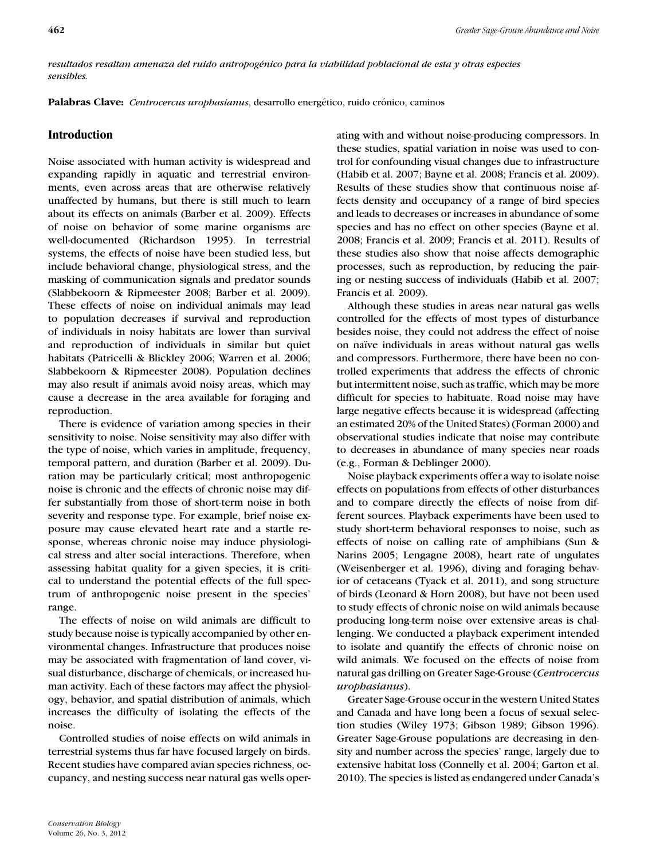*resultados resaltan amenaza del ruido antropog´enico para la viabilidad poblacional de esta y otras especies sensibles.*

**Palabras Clave:** *Centrocercus urophasianus*, desarrollo energético, ruido crónico, caminos

# **Introduction**

Noise associated with human activity is widespread and expanding rapidly in aquatic and terrestrial environments, even across areas that are otherwise relatively unaffected by humans, but there is still much to learn about its effects on animals (Barber et al. 2009). Effects of noise on behavior of some marine organisms are well-documented (Richardson 1995). In terrestrial systems, the effects of noise have been studied less, but include behavioral change, physiological stress, and the masking of communication signals and predator sounds (Slabbekoorn & Ripmeester 2008; Barber et al. 2009). These effects of noise on individual animals may lead to population decreases if survival and reproduction of individuals in noisy habitats are lower than survival and reproduction of individuals in similar but quiet habitats (Patricelli & Blickley 2006; Warren et al. 2006; Slabbekoorn & Ripmeester 2008). Population declines may also result if animals avoid noisy areas, which may cause a decrease in the area available for foraging and reproduction.

There is evidence of variation among species in their sensitivity to noise. Noise sensitivity may also differ with the type of noise, which varies in amplitude, frequency, temporal pattern, and duration (Barber et al. 2009). Duration may be particularly critical; most anthropogenic noise is chronic and the effects of chronic noise may differ substantially from those of short-term noise in both severity and response type. For example, brief noise exposure may cause elevated heart rate and a startle response, whereas chronic noise may induce physiological stress and alter social interactions. Therefore, when assessing habitat quality for a given species, it is critical to understand the potential effects of the full spectrum of anthropogenic noise present in the species' range.

The effects of noise on wild animals are difficult to study because noise is typically accompanied by other environmental changes. Infrastructure that produces noise may be associated with fragmentation of land cover, visual disturbance, discharge of chemicals, or increased human activity. Each of these factors may affect the physiology, behavior, and spatial distribution of animals, which increases the difficulty of isolating the effects of the noise.

Controlled studies of noise effects on wild animals in terrestrial systems thus far have focused largely on birds. Recent studies have compared avian species richness, occupancy, and nesting success near natural gas wells operating with and without noise-producing compressors. In these studies, spatial variation in noise was used to control for confounding visual changes due to infrastructure (Habib et al. 2007; Bayne et al. 2008; Francis et al. 2009). Results of these studies show that continuous noise affects density and occupancy of a range of bird species and leads to decreases or increases in abundance of some species and has no effect on other species (Bayne et al. 2008; Francis et al. 2009; Francis et al. 2011). Results of these studies also show that noise affects demographic processes, such as reproduction, by reducing the pairing or nesting success of individuals (Habib et al. 2007; Francis et al. 2009).

Although these studies in areas near natural gas wells controlled for the effects of most types of disturbance besides noise, they could not address the effect of noise on naïve individuals in areas without natural gas wells and compressors. Furthermore, there have been no controlled experiments that address the effects of chronic but intermittent noise, such as traffic, which may be more difficult for species to habituate. Road noise may have large negative effects because it is widespread (affecting an estimated 20% of the United States) (Forman 2000) and observational studies indicate that noise may contribute to decreases in abundance of many species near roads (e.g., Forman & Deblinger 2000).

Noise playback experiments offer a way to isolate noise effects on populations from effects of other disturbances and to compare directly the effects of noise from different sources. Playback experiments have been used to study short-term behavioral responses to noise, such as effects of noise on calling rate of amphibians (Sun & Narins 2005; Lengagne 2008), heart rate of ungulates (Weisenberger et al. 1996), diving and foraging behavior of cetaceans (Tyack et al. 2011), and song structure of birds (Leonard & Horn 2008), but have not been used to study effects of chronic noise on wild animals because producing long-term noise over extensive areas is challenging. We conducted a playback experiment intended to isolate and quantify the effects of chronic noise on wild animals. We focused on the effects of noise from natural gas drilling on Greater Sage-Grouse (*Centrocercus urophasianus*).

Greater Sage-Grouse occur in the western United States and Canada and have long been a focus of sexual selection studies (Wiley 1973; Gibson 1989; Gibson 1996). Greater Sage-Grouse populations are decreasing in density and number across the species' range, largely due to extensive habitat loss (Connelly et al. 2004; Garton et al. 2010). The species is listed as endangered under Canada's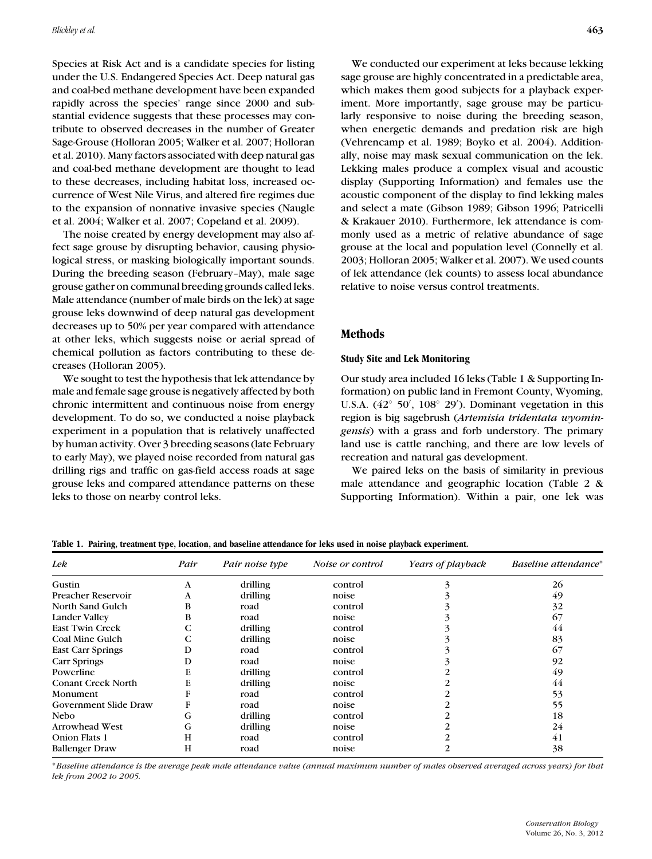Species at Risk Act and is a candidate species for listing under the U.S. Endangered Species Act. Deep natural gas and coal-bed methane development have been expanded rapidly across the species' range since 2000 and substantial evidence suggests that these processes may contribute to observed decreases in the number of Greater Sage-Grouse (Holloran 2005; Walker et al. 2007; Holloran et al. 2010). Many factors associated with deep natural gas and coal-bed methane development are thought to lead to these decreases, including habitat loss, increased occurrence of West Nile Virus, and altered fire regimes due to the expansion of nonnative invasive species (Naugle et al. 2004; Walker et al. 2007; Copeland et al. 2009).

The noise created by energy development may also affect sage grouse by disrupting behavior, causing physiological stress, or masking biologically important sounds. During the breeding season (February–May), male sage grouse gather on communal breeding grounds called leks. Male attendance (number of male birds on the lek) at sage grouse leks downwind of deep natural gas development decreases up to 50% per year compared with attendance at other leks, which suggests noise or aerial spread of chemical pollution as factors contributing to these decreases (Holloran 2005).

We sought to test the hypothesis that lek attendance by male and female sage grouse is negatively affected by both chronic intermittent and continuous noise from energy development. To do so, we conducted a noise playback experiment in a population that is relatively unaffected by human activity. Over 3 breeding seasons (late February to early May), we played noise recorded from natural gas drilling rigs and traffic on gas-field access roads at sage grouse leks and compared attendance patterns on these leks to those on nearby control leks.

We conducted our experiment at leks because lekking sage grouse are highly concentrated in a predictable area, which makes them good subjects for a playback experiment. More importantly, sage grouse may be particularly responsive to noise during the breeding season, when energetic demands and predation risk are high (Vehrencamp et al. 1989; Boyko et al. 2004). Additionally, noise may mask sexual communication on the lek. Lekking males produce a complex visual and acoustic display (Supporting Information) and females use the acoustic component of the display to find lekking males and select a mate (Gibson 1989; Gibson 1996; Patricelli & Krakauer 2010). Furthermore, lek attendance is commonly used as a metric of relative abundance of sage grouse at the local and population level (Connelly et al. 2003; Holloran 2005; Walker et al. 2007). We used counts of lek attendance (lek counts) to assess local abundance relative to noise versus control treatments.

## **Methods**

#### **Study Site and Lek Monitoring**

Our study area included 16 leks (Table 1 & Supporting Information) on public land in Fremont County, Wyoming, U.S.A.  $(42^{\circ} 50', 108^{\circ} 29')$ . Dominant vegetation in this region is big sagebrush (*Artemisia tridentata wyomingensis*) with a grass and forb understory. The primary land use is cattle ranching, and there are low levels of recreation and natural gas development.

We paired leks on the basis of similarity in previous male attendance and geographic location (Table 2 & Supporting Information). Within a pair, one lek was

|  |  | Table 1. Pairing, treatment type, location, and baseline attendance for leks used in noise playback experiment |  |  |  |  |  |  |  |  |
|--|--|----------------------------------------------------------------------------------------------------------------|--|--|--|--|--|--|--|--|
|--|--|----------------------------------------------------------------------------------------------------------------|--|--|--|--|--|--|--|--|

| Lek                       | Pair | Pair noise type | Noise or control | Years of playback | Baseline attendance* |
|---------------------------|------|-----------------|------------------|-------------------|----------------------|
| Gustin                    | A    | drilling        | control          |                   | 26                   |
| <b>Preacher Reservoir</b> | A    | drilling        | noise            |                   | 49                   |
| North Sand Gulch          | в    | road            | control          |                   | 32                   |
| Lander Valley             | B    | road            | noise            |                   | 67                   |
| <b>East Twin Creek</b>    | C    | drilling        | control          |                   | 44                   |
| Coal Mine Gulch           | C    | drilling        | noise            |                   | 83                   |
| <b>East Carr Springs</b>  | D    | road            | control          |                   | 67                   |
| <b>Carr Springs</b>       | D    | road            | noise            |                   | 92                   |
| Powerline                 | E    | drilling        | control          |                   | 49                   |
| <b>Conant Creek North</b> | E    | drilling        | noise            |                   | 44                   |
| Monument                  |      | road            | control          |                   | 53                   |
| Government Slide Draw     |      | road            | noise            |                   | 55                   |
| <b>Nebo</b>               | G    | drilling        | control          |                   | 18                   |
| <b>Arrowhead West</b>     | G    | drilling        | noise            |                   | 24                   |
| Onion Flats 1             | H    | road            | control          |                   | 41                   |
| <b>Ballenger Draw</b>     | H    | road            | noise            |                   | 38                   |

∗*Baseline attendance is the average peak male attendance value (annual maximum number of males observed averaged across years) for that lek from 2002 to 2005.*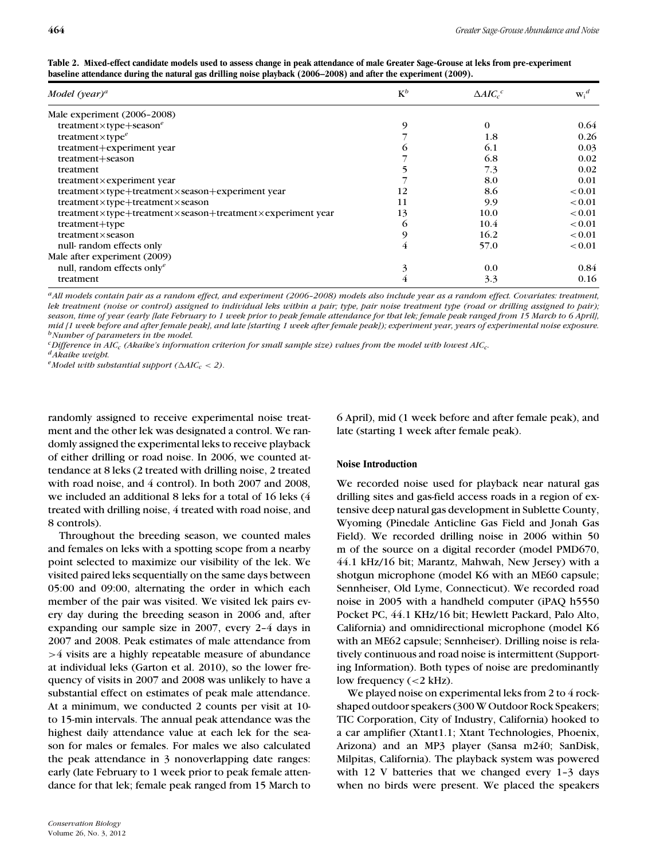| Model (year) <sup>a</sup>                                       | $K^b$ | $\triangle AIC_c^c$ | $\mathbf{w}_i^d$ |
|-----------------------------------------------------------------|-------|---------------------|------------------|
| Male experiment (2006-2008)                                     |       |                     |                  |
| treatment $\times$ type $+$ season $e$                          | 9     | $\Omega$            | 0.64             |
| treatment $\times$ type $e^e$                                   |       | 1.8                 | 0.26             |
| treatment+experiment year                                       | O     | 6.1                 | 0.03             |
| treatment+season                                                |       | 6.8                 | 0.02             |
| treatment                                                       |       | 7.3                 | 0.02             |
| treatment×experiment year                                       |       | 8.0                 | 0.01             |
| treatment×type+treatment×season+experiment year                 | 12    | 8.6                 | < 0.01           |
| $treatment \times type + treatment \times season$               | 11    | 9.9                 | < 0.01           |
| treatment × type+treatment × season+treatment × experiment year | 13    | 10.0                | < 0.01           |
| treatment+type                                                  | 6     | 10.4                | < 0.01           |
| $treatment \times season$                                       | 9     | 16.2                | < 0.01           |
| null-random effects only                                        | 4     | 57.0                | < 0.01           |
| Male after experiment (2009)                                    |       |                     |                  |
| null, random effects only $e$                                   | 3     | 0.0                 | 0.84             |
| treatment                                                       | 4     | 3.3                 | 0.16             |

**Table 2. Mixed-effect candidate models used to assess change in peak attendance of male Greater Sage-Grouse at leks from pre-experiment baseline attendance during the natural gas drilling noise playback (2006–2008) and after the experiment (2009).**

*aAll models contain pair as a random effect, and experiment (2006–2008) models also include year as a random effect. Covariates: treatment, lek treatment (noise or control) assigned to individual leks within a pair; type, pair noise treatment type (road or drilling assigned to pair); season, time of year (early [late February to 1 week prior to peak female attendance for that lek; female peak ranged from 15 March to 6 April], mid [1 week before and after female peak], and late [starting 1 week after female peak]); experiment year, years of experimental noise exposure. bNumber of parameters in the model.*

*cDifference in AICc (Akaike's information criterion for small sample size) values from the model with lowest AICc. dAkaike weight.*

 $e^e$ Model with substantial support ( $\Delta AIC_c < 2$ ).

randomly assigned to receive experimental noise treatment and the other lek was designated a control. We randomly assigned the experimental leks to receive playback of either drilling or road noise. In 2006, we counted attendance at 8 leks (2 treated with drilling noise, 2 treated with road noise, and 4 control). In both 2007 and 2008, we included an additional 8 leks for a total of 16 leks (4 treated with drilling noise, 4 treated with road noise, and 8 controls).

Throughout the breeding season, we counted males and females on leks with a spotting scope from a nearby point selected to maximize our visibility of the lek. We visited paired leks sequentially on the same days between 05:00 and 09:00, alternating the order in which each member of the pair was visited. We visited lek pairs every day during the breeding season in 2006 and, after expanding our sample size in 2007, every 2–4 days in 2007 and 2008. Peak estimates of male attendance from >4 visits are a highly repeatable measure of abundance at individual leks (Garton et al. 2010), so the lower frequency of visits in 2007 and 2008 was unlikely to have a substantial effect on estimates of peak male attendance. At a minimum, we conducted 2 counts per visit at 10 to 15-min intervals. The annual peak attendance was the highest daily attendance value at each lek for the season for males or females. For males we also calculated the peak attendance in 3 nonoverlapping date ranges: early (late February to 1 week prior to peak female attendance for that lek; female peak ranged from 15 March to

6 April), mid (1 week before and after female peak), and late (starting 1 week after female peak).

#### **Noise Introduction**

We recorded noise used for playback near natural gas drilling sites and gas-field access roads in a region of extensive deep natural gas development in Sublette County, Wyoming (Pinedale Anticline Gas Field and Jonah Gas Field). We recorded drilling noise in 2006 within 50 m of the source on a digital recorder (model PMD670, 44.1 kHz/16 bit; Marantz, Mahwah, New Jersey) with a shotgun microphone (model K6 with an ME60 capsule; Sennheiser, Old Lyme, Connecticut). We recorded road noise in 2005 with a handheld computer (iPAQ h5550 Pocket PC, 44.1 KHz/16 bit; Hewlett Packard, Palo Alto, California) and omnidirectional microphone (model K6 with an ME62 capsule; Sennheiser). Drilling noise is relatively continuous and road noise is intermittent (Supporting Information). Both types of noise are predominantly low frequency (<2 kHz).

We played noise on experimental leks from 2 to 4 rockshaped outdoor speakers (300 W Outdoor Rock Speakers; TIC Corporation, City of Industry, California) hooked to a car amplifier (Xtant1.1; Xtant Technologies, Phoenix, Arizona) and an MP3 player (Sansa m240; SanDisk, Milpitas, California). The playback system was powered with 12 V batteries that we changed every 1-3 days when no birds were present. We placed the speakers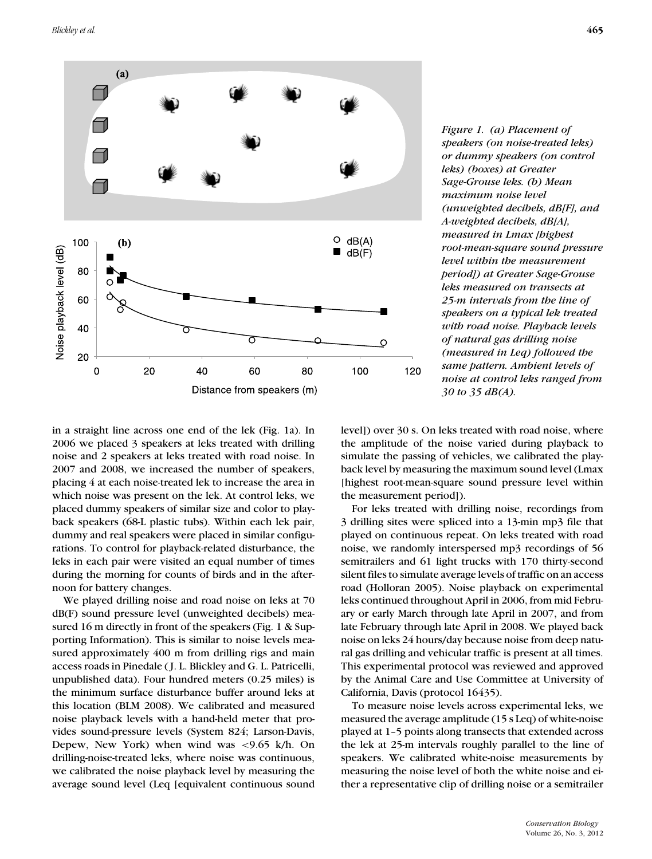

*Figure 1. (a) Placement of speakers (on noise-treated leks) or dummy speakers (on control leks) (boxes) at Greater Sage-Grouse leks. (b) Mean maximum noise level (unweighted decibels, dB[F], and A-weighted decibels, dB[A], measured in Lmax [highest root-mean-square sound pressure level within the measurement period]) at Greater Sage-Grouse leks measured on transects at 25-m intervals from the line of speakers on a typical lek treated with road noise. Playback levels of natural gas drilling noise (measured in Leq) followed the same pattern. Ambient levels of noise at control leks ranged from 30 to 35 dB(A).*

in a straight line across one end of the lek (Fig. 1a). In 2006 we placed 3 speakers at leks treated with drilling noise and 2 speakers at leks treated with road noise. In 2007 and 2008, we increased the number of speakers, placing 4 at each noise-treated lek to increase the area in which noise was present on the lek. At control leks, we placed dummy speakers of similar size and color to playback speakers (68-L plastic tubs). Within each lek pair, dummy and real speakers were placed in similar configurations. To control for playback-related disturbance, the leks in each pair were visited an equal number of times during the morning for counts of birds and in the afternoon for battery changes.

We played drilling noise and road noise on leks at 70 dB(F) sound pressure level (unweighted decibels) measured 16 m directly in front of the speakers (Fig. 1 & Supporting Information). This is similar to noise levels measured approximately 400 m from drilling rigs and main access roads in Pinedale ( J. L. Blickley and G. L. Patricelli, unpublished data). Four hundred meters (0.25 miles) is the minimum surface disturbance buffer around leks at this location (BLM 2008). We calibrated and measured noise playback levels with a hand-held meter that provides sound-pressure levels (System 824; Larson-Davis, Depew, New York) when wind was <9.65 k/h. On drilling-noise-treated leks, where noise was continuous, we calibrated the noise playback level by measuring the average sound level (Leq [equivalent continuous sound level]) over 30 s. On leks treated with road noise, where the amplitude of the noise varied during playback to simulate the passing of vehicles, we calibrated the playback level by measuring the maximum sound level (Lmax [highest root-mean-square sound pressure level within the measurement period]).

For leks treated with drilling noise, recordings from 3 drilling sites were spliced into a 13-min mp3 file that played on continuous repeat. On leks treated with road noise, we randomly interspersed mp3 recordings of 56 semitrailers and 61 light trucks with 170 thirty-second silent files to simulate average levels of traffic on an access road (Holloran 2005). Noise playback on experimental leks continued throughout April in 2006, from mid February or early March through late April in 2007, and from late February through late April in 2008. We played back noise on leks 24 hours/day because noise from deep natural gas drilling and vehicular traffic is present at all times. This experimental protocol was reviewed and approved by the Animal Care and Use Committee at University of California, Davis (protocol 16435).

To measure noise levels across experimental leks, we measured the average amplitude (15 s Leq) of white-noise played at 1–5 points along transects that extended across the lek at 25-m intervals roughly parallel to the line of speakers. We calibrated white-noise measurements by measuring the noise level of both the white noise and either a representative clip of drilling noise or a semitrailer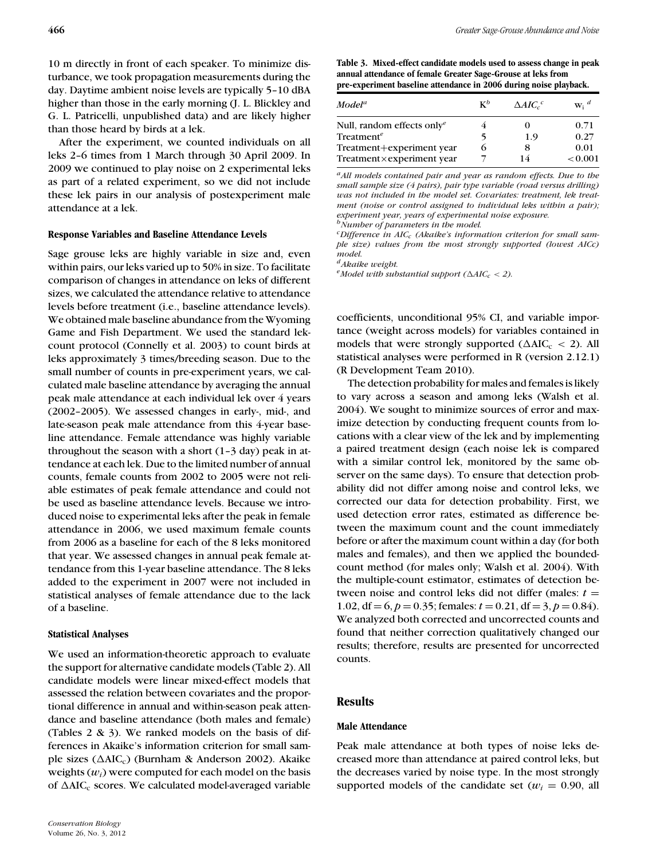10 m directly in front of each speaker. To minimize disturbance, we took propagation measurements during the day. Daytime ambient noise levels are typically 5–10 dBA higher than those in the early morning (J. L. Blickley and G. L. Patricelli, unpublished data) and are likely higher than those heard by birds at a lek.

After the experiment, we counted individuals on all leks 2–6 times from 1 March through 30 April 2009. In 2009 we continued to play noise on 2 experimental leks as part of a related experiment, so we did not include these lek pairs in our analysis of postexperiment male attendance at a lek.

#### **Response Variables and Baseline Attendance Levels**

Sage grouse leks are highly variable in size and, even within pairs, our leks varied up to 50% in size. To facilitate comparison of changes in attendance on leks of different sizes, we calculated the attendance relative to attendance levels before treatment (i.e., baseline attendance levels). We obtained male baseline abundance from the Wyoming Game and Fish Department. We used the standard lekcount protocol (Connelly et al. 2003) to count birds at leks approximately 3 times/breeding season. Due to the small number of counts in pre-experiment years, we calculated male baseline attendance by averaging the annual peak male attendance at each individual lek over 4 years (2002–2005). We assessed changes in early-, mid-, and late-season peak male attendance from this 4-year baseline attendance. Female attendance was highly variable throughout the season with a short (1–3 day) peak in attendance at each lek. Due to the limited number of annual counts, female counts from 2002 to 2005 were not reliable estimates of peak female attendance and could not be used as baseline attendance levels. Because we introduced noise to experimental leks after the peak in female attendance in 2006, we used maximum female counts from 2006 as a baseline for each of the 8 leks monitored that year. We assessed changes in annual peak female attendance from this 1-year baseline attendance. The 8 leks added to the experiment in 2007 were not included in statistical analyses of female attendance due to the lack of a baseline.

#### **Statistical Analyses**

We used an information-theoretic approach to evaluate the support for alternative candidate models (Table 2). All candidate models were linear mixed-effect models that assessed the relation between covariates and the proportional difference in annual and within-season peak attendance and baseline attendance (both males and female) (Tables 2 & 3). We ranked models on the basis of differences in Akaike's information criterion for small sample sizes ( $\triangle AIC_c$ ) (Burnham & Anderson 2002). Akaike weights  $(w_i)$  were computed for each model on the basis of  $\Delta AIC_c$  scores. We calculated model-averaged variable

**Table 3. Mixed-effect candidate models used to assess change in peak annual attendance of female Greater Sage-Grouse at leks from pre-experiment baseline attendance in 2006 during noise playback.**

| Modelª                                 | $K^b$ | $\triangle AIC_c{}^c$ | $\mathbf{w}_i$ <sup>d</sup> |
|----------------------------------------|-------|-----------------------|-----------------------------|
| Null, random effects only <sup>e</sup> |       | 0                     | 0.71                        |
| Treatment $^e$                         |       | 1.9                   | 0.27                        |
| Treatment+experiment year              |       | 8                     | 0.01                        |
| Treatment×experiment year              |       | 14                    | < 0.001                     |

*aAll models contained pair and year as random effects. Due to the small sample size (4 pairs), pair type variable (road versus drilling) was not included in the model set. Covariates: treatment, lek treatment (noise or control assigned to individual leks within a pair); experiment year, years of experimental noise exposure.*

*b Number of parameters in the model.* 

*cDifference in AICc (Akaike's information criterion for small sample size) values from the most strongly supported (lowest AICc) model.*

*dAkaike weight.*

 $e^{\theta}$ *Model with substantial support* ( $\Delta AIC_c < 2$ ).

coefficients, unconditional 95% CI, and variable importance (weight across models) for variables contained in models that were strongly supported ( $\Delta AIC_c < 2$ ). All statistical analyses were performed in R (version 2.12.1) (R Development Team 2010).

The detection probability for males and females is likely to vary across a season and among leks (Walsh et al. 2004). We sought to minimize sources of error and maximize detection by conducting frequent counts from locations with a clear view of the lek and by implementing a paired treatment design (each noise lek is compared with a similar control lek, monitored by the same observer on the same days). To ensure that detection probability did not differ among noise and control leks, we corrected our data for detection probability. First, we used detection error rates, estimated as difference between the maximum count and the count immediately before or after the maximum count within a day (for both males and females), and then we applied the boundedcount method (for males only; Walsh et al. 2004). With the multiple-count estimator, estimates of detection between noise and control leks did not differ (males:  $t =$ 1.02, df = 6,  $p = 0.35$ ; females:  $t = 0.21$ , df = 3,  $p = 0.84$ ). We analyzed both corrected and uncorrected counts and found that neither correction qualitatively changed our results; therefore, results are presented for uncorrected counts.

### **Results**

#### **Male Attendance**

Peak male attendance at both types of noise leks decreased more than attendance at paired control leks, but the decreases varied by noise type. In the most strongly supported models of the candidate set  $(w_i = 0.90, \text{ all})$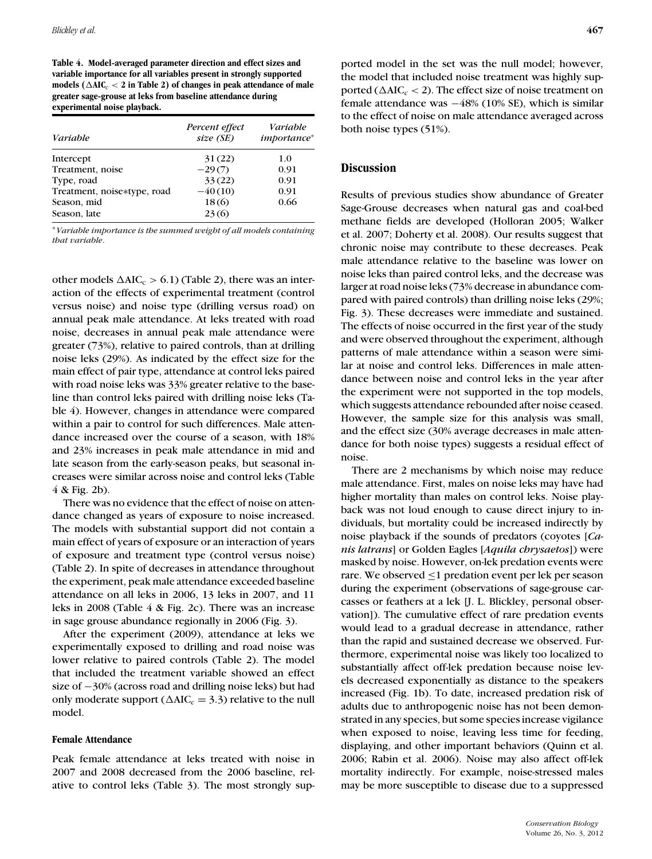**Table 4. Model-averaged parameter direction and effect sizes and variable importance for all variables present in strongly supported** <code>models</code> (  $\Delta \text{AIC}_c < 2$  in Table 2) of changes in peak attendance of male **greater sage-grouse at leks from baseline attendance during experimental noise playback.**

| Variable                    | Percent effect<br>$size$ (SE) | Variable<br>importance* |  |
|-----------------------------|-------------------------------|-------------------------|--|
| Intercept                   | 31(22)                        | 1.0                     |  |
| Treatment, noise            | $-29(7)$                      | 0.91                    |  |
| Type, road                  | 33(22)                        | 0.91                    |  |
| Treatment, noise*type, road | $-40(10)$                     | 0.91                    |  |
| Season, mid                 | 18(6)                         | 0.66                    |  |
| Season, late                | 23(6)                         |                         |  |

∗*Variable importance is the summed weight of all models containing that variable*.

other models  $\Delta AIC_c > 6.1$ ) (Table 2), there was an interaction of the effects of experimental treatment (control versus noise) and noise type (drilling versus road) on annual peak male attendance. At leks treated with road noise, decreases in annual peak male attendance were greater (73%), relative to paired controls, than at drilling noise leks (29%). As indicated by the effect size for the main effect of pair type, attendance at control leks paired with road noise leks was 33% greater relative to the baseline than control leks paired with drilling noise leks (Table 4). However, changes in attendance were compared within a pair to control for such differences. Male attendance increased over the course of a season, with 18% and 23% increases in peak male attendance in mid and late season from the early-season peaks, but seasonal increases were similar across noise and control leks (Table 4 & Fig. 2b).

There was no evidence that the effect of noise on attendance changed as years of exposure to noise increased. The models with substantial support did not contain a main effect of years of exposure or an interaction of years of exposure and treatment type (control versus noise) (Table 2). In spite of decreases in attendance throughout the experiment, peak male attendance exceeded baseline attendance on all leks in 2006, 13 leks in 2007, and 11 leks in 2008 (Table 4 & Fig. 2c). There was an increase in sage grouse abundance regionally in 2006 (Fig. 3).

After the experiment (2009), attendance at leks we experimentally exposed to drilling and road noise was lower relative to paired controls (Table 2). The model that included the treatment variable showed an effect size of −30% (across road and drilling noise leks) but had only moderate support ( $\triangle AIC_c = 3.3$ ) relative to the null model.

#### **Female Attendance**

Peak female attendance at leks treated with noise in 2007 and 2008 decreased from the 2006 baseline, relative to control leks (Table 3). The most strongly supported model in the set was the null model; however, the model that included noise treatment was highly supported ( $\Delta AIC_c < 2$ ). The effect size of noise treatment on female attendance was −48% (10% SE), which is similar to the effect of noise on male attendance averaged across both noise types (51%).

## **Discussion**

Results of previous studies show abundance of Greater Sage-Grouse decreases when natural gas and coal-bed methane fields are developed (Holloran 2005; Walker et al. 2007; Doherty et al. 2008). Our results suggest that chronic noise may contribute to these decreases. Peak male attendance relative to the baseline was lower on noise leks than paired control leks, and the decrease was larger at road noise leks (73% decrease in abundance compared with paired controls) than drilling noise leks (29%; Fig. 3). These decreases were immediate and sustained. The effects of noise occurred in the first year of the study and were observed throughout the experiment, although patterns of male attendance within a season were similar at noise and control leks. Differences in male attendance between noise and control leks in the year after the experiment were not supported in the top models, which suggests attendance rebounded after noise ceased. However, the sample size for this analysis was small, and the effect size (30% average decreases in male attendance for both noise types) suggests a residual effect of noise.

There are 2 mechanisms by which noise may reduce male attendance. First, males on noise leks may have had higher mortality than males on control leks. Noise playback was not loud enough to cause direct injury to individuals, but mortality could be increased indirectly by noise playback if the sounds of predators (coyotes [*Canis latrans*] or Golden Eagles [*Aquila chrysaetos*]) were masked by noise. However, on-lek predation events were rare. We observed  $\leq 1$  predation event per lek per season during the experiment (observations of sage-grouse carcasses or feathers at a lek [J. L. Blickley, personal observation]). The cumulative effect of rare predation events would lead to a gradual decrease in attendance, rather than the rapid and sustained decrease we observed. Furthermore, experimental noise was likely too localized to substantially affect off-lek predation because noise levels decreased exponentially as distance to the speakers increased (Fig. 1b). To date, increased predation risk of adults due to anthropogenic noise has not been demonstrated in any species, but some species increase vigilance when exposed to noise, leaving less time for feeding, displaying, and other important behaviors (Quinn et al. 2006; Rabin et al. 2006). Noise may also affect off-lek mortality indirectly. For example, noise-stressed males may be more susceptible to disease due to a suppressed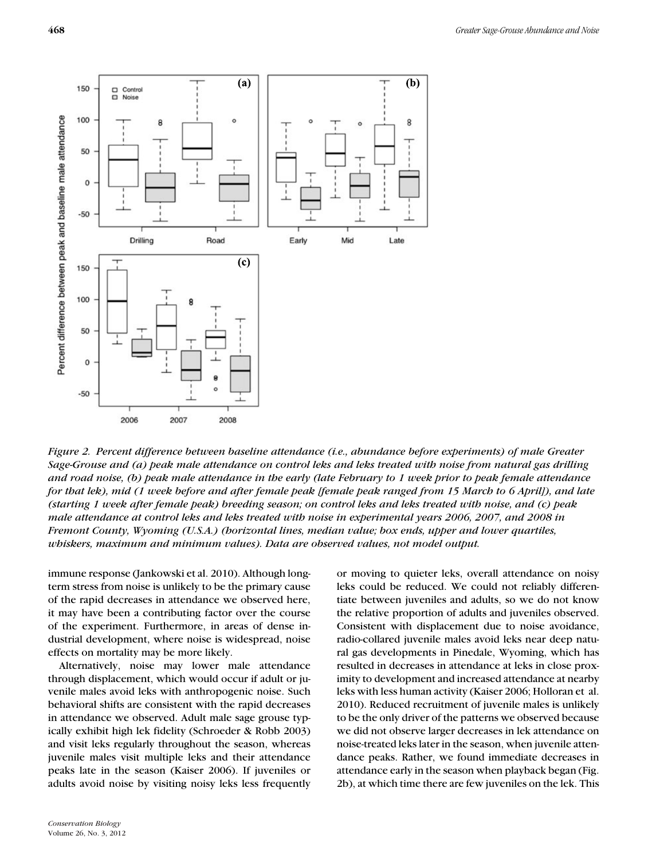

*Figure 2. Percent difference between baseline attendance (i.e., abundance before experiments) of male Greater Sage-Grouse and (a) peak male attendance on control leks and leks treated with noise from natural gas drilling and road noise, (b) peak male attendance in the early (late February to 1 week prior to peak female attendance for that lek), mid (1 week before and after female peak [female peak ranged from 15 March to 6 April]), and late (starting 1 week after female peak) breeding season; on control leks and leks treated with noise, and (c) peak male attendance at control leks and leks treated with noise in experimental years 2006, 2007, and 2008 in Fremont County, Wyoming (U.S.A.) (horizontal lines, median value; box ends, upper and lower quartiles, whiskers, maximum and minimum values). Data are observed values, not model output.*

immune response (Jankowski et al. 2010). Although longterm stress from noise is unlikely to be the primary cause of the rapid decreases in attendance we observed here, it may have been a contributing factor over the course of the experiment. Furthermore, in areas of dense industrial development, where noise is widespread, noise effects on mortality may be more likely.

Alternatively, noise may lower male attendance through displacement, which would occur if adult or juvenile males avoid leks with anthropogenic noise. Such behavioral shifts are consistent with the rapid decreases in attendance we observed. Adult male sage grouse typically exhibit high lek fidelity (Schroeder & Robb 2003) and visit leks regularly throughout the season, whereas juvenile males visit multiple leks and their attendance peaks late in the season (Kaiser 2006). If juveniles or adults avoid noise by visiting noisy leks less frequently or moving to quieter leks, overall attendance on noisy leks could be reduced. We could not reliably differentiate between juveniles and adults, so we do not know the relative proportion of adults and juveniles observed. Consistent with displacement due to noise avoidance, radio-collared juvenile males avoid leks near deep natural gas developments in Pinedale, Wyoming, which has resulted in decreases in attendance at leks in close proximity to development and increased attendance at nearby leks with less human activity (Kaiser 2006; Holloran et al. 2010). Reduced recruitment of juvenile males is unlikely to be the only driver of the patterns we observed because we did not observe larger decreases in lek attendance on noise-treated leks later in the season, when juvenile attendance peaks. Rather, we found immediate decreases in attendance early in the season when playback began (Fig. 2b), at which time there are few juveniles on the lek. This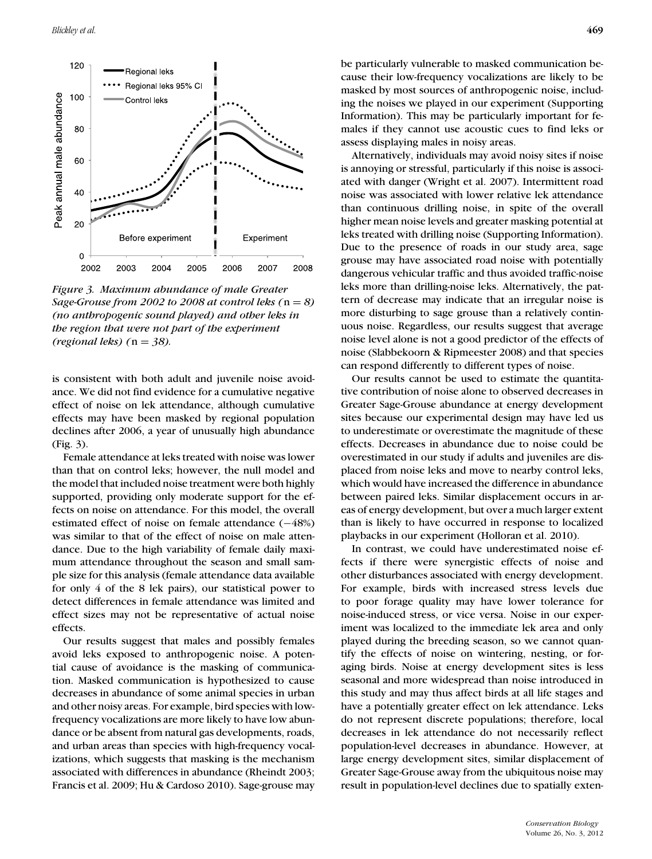

*Figure 3. Maximum abundance of male Greater Sage-Grouse from 2002 to 2008 at control leks (*n = *8) (no anthropogenic sound played) and other leks in the region that were not part of the experiment (regional leks) (*n = *38).*

is consistent with both adult and juvenile noise avoidance. We did not find evidence for a cumulative negative effect of noise on lek attendance, although cumulative effects may have been masked by regional population declines after 2006, a year of unusually high abundance (Fig. 3).

Female attendance at leks treated with noise was lower than that on control leks; however, the null model and the model that included noise treatment were both highly supported, providing only moderate support for the effects on noise on attendance. For this model, the overall estimated effect of noise on female attendance (−48%) was similar to that of the effect of noise on male attendance. Due to the high variability of female daily maximum attendance throughout the season and small sample size for this analysis (female attendance data available for only 4 of the 8 lek pairs), our statistical power to detect differences in female attendance was limited and effect sizes may not be representative of actual noise effects.

Our results suggest that males and possibly females avoid leks exposed to anthropogenic noise. A potential cause of avoidance is the masking of communication. Masked communication is hypothesized to cause decreases in abundance of some animal species in urban and other noisy areas. For example, bird species with lowfrequency vocalizations are more likely to have low abundance or be absent from natural gas developments, roads, and urban areas than species with high-frequency vocalizations, which suggests that masking is the mechanism associated with differences in abundance (Rheindt 2003; Francis et al. 2009; Hu & Cardoso 2010). Sage-grouse may be particularly vulnerable to masked communication because their low-frequency vocalizations are likely to be masked by most sources of anthropogenic noise, including the noises we played in our experiment (Supporting Information). This may be particularly important for females if they cannot use acoustic cues to find leks or assess displaying males in noisy areas.

Alternatively, individuals may avoid noisy sites if noise is annoying or stressful, particularly if this noise is associated with danger (Wright et al. 2007). Intermittent road noise was associated with lower relative lek attendance than continuous drilling noise, in spite of the overall higher mean noise levels and greater masking potential at leks treated with drilling noise (Supporting Information). Due to the presence of roads in our study area, sage grouse may have associated road noise with potentially dangerous vehicular traffic and thus avoided traffic-noise leks more than drilling-noise leks. Alternatively, the pattern of decrease may indicate that an irregular noise is more disturbing to sage grouse than a relatively continuous noise. Regardless, our results suggest that average noise level alone is not a good predictor of the effects of noise (Slabbekoorn & Ripmeester 2008) and that species can respond differently to different types of noise.

Our results cannot be used to estimate the quantitative contribution of noise alone to observed decreases in Greater Sage-Grouse abundance at energy development sites because our experimental design may have led us to underestimate or overestimate the magnitude of these effects. Decreases in abundance due to noise could be overestimated in our study if adults and juveniles are displaced from noise leks and move to nearby control leks, which would have increased the difference in abundance between paired leks. Similar displacement occurs in areas of energy development, but over a much larger extent than is likely to have occurred in response to localized playbacks in our experiment (Holloran et al. 2010).

In contrast, we could have underestimated noise effects if there were synergistic effects of noise and other disturbances associated with energy development. For example, birds with increased stress levels due to poor forage quality may have lower tolerance for noise-induced stress, or vice versa. Noise in our experiment was localized to the immediate lek area and only played during the breeding season, so we cannot quantify the effects of noise on wintering, nesting, or foraging birds. Noise at energy development sites is less seasonal and more widespread than noise introduced in this study and may thus affect birds at all life stages and have a potentially greater effect on lek attendance. Leks do not represent discrete populations; therefore, local decreases in lek attendance do not necessarily reflect population-level decreases in abundance. However, at large energy development sites, similar displacement of Greater Sage-Grouse away from the ubiquitous noise may result in population-level declines due to spatially exten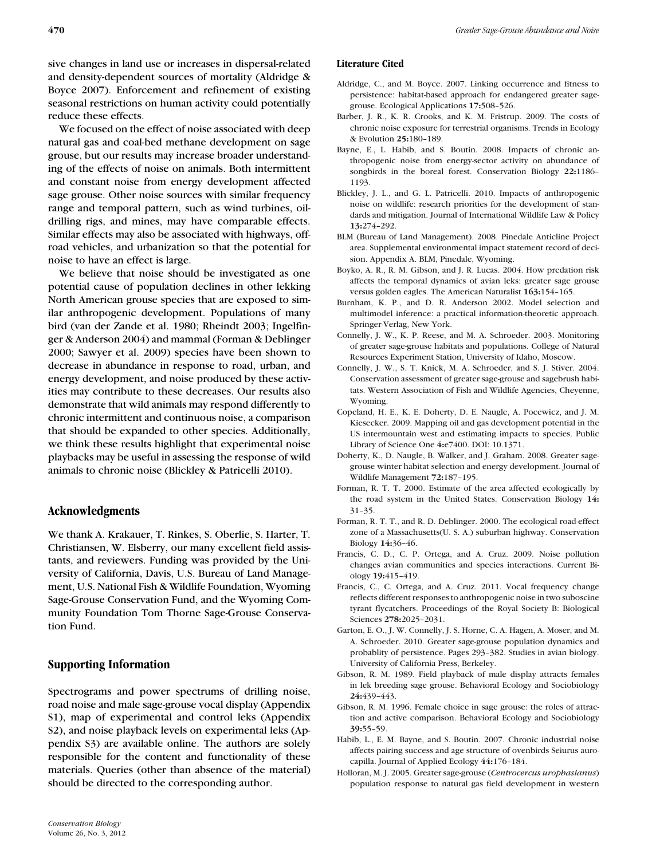sive changes in land use or increases in dispersal-related and density-dependent sources of mortality (Aldridge & Boyce 2007). Enforcement and refinement of existing seasonal restrictions on human activity could potentially reduce these effects.

We focused on the effect of noise associated with deep natural gas and coal-bed methane development on sage grouse, but our results may increase broader understanding of the effects of noise on animals. Both intermittent and constant noise from energy development affected sage grouse. Other noise sources with similar frequency range and temporal pattern, such as wind turbines, oildrilling rigs, and mines, may have comparable effects. Similar effects may also be associated with highways, offroad vehicles, and urbanization so that the potential for noise to have an effect is large.

We believe that noise should be investigated as one potential cause of population declines in other lekking North American grouse species that are exposed to similar anthropogenic development. Populations of many bird (van der Zande et al. 1980; Rheindt 2003; Ingelfinger & Anderson 2004) and mammal (Forman & Deblinger 2000; Sawyer et al. 2009) species have been shown to decrease in abundance in response to road, urban, and energy development, and noise produced by these activities may contribute to these decreases. Our results also demonstrate that wild animals may respond differently to chronic intermittent and continuous noise, a comparison that should be expanded to other species. Additionally, we think these results highlight that experimental noise playbacks may be useful in assessing the response of wild animals to chronic noise (Blickley & Patricelli 2010).

### **Acknowledgments**

We thank A. Krakauer, T. Rinkes, S. Oberlie, S. Harter, T. Christiansen, W. Elsberry, our many excellent field assistants, and reviewers. Funding was provided by the University of California, Davis, U.S. Bureau of Land Management, U.S. National Fish & Wildlife Foundation, Wyoming Sage-Grouse Conservation Fund, and the Wyoming Community Foundation Tom Thorne Sage-Grouse Conservation Fund.

#### **Supporting Information**

Spectrograms and power spectrums of drilling noise, road noise and male sage-grouse vocal display (Appendix S1), map of experimental and control leks (Appendix S2), and noise playback levels on experimental leks (Appendix S3) are available online. The authors are solely responsible for the content and functionality of these materials. Queries (other than absence of the material) should be directed to the corresponding author.

#### **Literature Cited**

- Aldridge, C., and M. Boyce. 2007. Linking occurrence and fitness to persistence: habitat-based approach for endangered greater sagegrouse. Ecological Applications **17:**508–526.
- Barber, J. R., K. R. Crooks, and K. M. Fristrup. 2009. The costs of chronic noise exposure for terrestrial organisms. Trends in Ecology & Evolution **25:**180–189.
- Bayne, E., L. Habib, and S. Boutin. 2008. Impacts of chronic anthropogenic noise from energy-sector activity on abundance of songbirds in the boreal forest. Conservation Biology **22:**1186– 1193.
- Blickley, J. L., and G. L. Patricelli. 2010. Impacts of anthropogenic noise on wildlife: research priorities for the development of standards and mitigation. Journal of International Wildlife Law & Policy **13:**274–292.
- BLM (Bureau of Land Management). 2008. Pinedale Anticline Project area. Supplemental environmental impact statement record of decision. Appendix A. BLM, Pinedale, Wyoming.
- Boyko, A. R., R. M. Gibson, and J. R. Lucas. 2004. How predation risk affects the temporal dynamics of avian leks: greater sage grouse versus golden eagles. The American Naturalist **163:**154–165.
- Burnham, K. P., and D. R. Anderson 2002. Model selection and multimodel inference: a practical information-theoretic approach. Springer-Verlag, New York.
- Connelly, J. W., K. P. Reese, and M. A. Schroeder. 2003. Monitoring of greater sage-grouse habitats and populations. College of Natural Resources Experiment Station, University of Idaho, Moscow.
- Connelly, J. W., S. T. Knick, M. A. Schroeder, and S. J. Stiver. 2004. Conservation assessment of greater sage-grouse and sagebrush habitats. Western Association of Fish and Wildlife Agencies, Cheyenne, Wyoming.
- Copeland, H. E., K. E. Doherty, D. E. Naugle, A. Pocewicz, and J. M. Kiesecker. 2009. Mapping oil and gas development potential in the US intermountain west and estimating impacts to species. Public Library of Science One **4:**e7400. DOI: 10.1371.
- Doherty, K., D. Naugle, B. Walker, and J. Graham. 2008. Greater sagegrouse winter habitat selection and energy development. Journal of Wildlife Management **72:**187–195.
- Forman, R. T. T. 2000. Estimate of the area affected ecologically by the road system in the United States. Conservation Biology **14:** 31–35.
- Forman, R. T. T., and R. D. Deblinger. 2000. The ecological road-effect zone of a Massachusetts(U. S. A.) suburban highway. Conservation Biology **14:**36–46.
- Francis, C. D., C. P. Ortega, and A. Cruz. 2009. Noise pollution changes avian communities and species interactions. Current Biology **19:**415–419.
- Francis, C., C. Ortega, and A. Cruz. 2011. Vocal frequency change reflects different responses to anthropogenic noise in two suboscine tyrant flycatchers. Proceedings of the Royal Society B: Biological Sciences **278:**2025–2031.
- Garton, E. O., J. W. Connelly, J. S. Horne, C. A. Hagen, A. Moser, and M. A. Schroeder. 2010. Greater sage-grouse population dynamics and probablity of persistence. Pages 293–382. Studies in avian biology. University of California Press, Berkeley.
- Gibson, R. M. 1989. Field playback of male display attracts females in lek breeding sage grouse. Behavioral Ecology and Sociobiology **24:**439–443.
- Gibson, R. M. 1996. Female choice in sage grouse: the roles of attraction and active comparison. Behavioral Ecology and Sociobiology **39:**55–59.
- Habib, L., E. M. Bayne, and S. Boutin. 2007. Chronic industrial noise affects pairing success and age structure of ovenbirds Seiurus aurocapilla. Journal of Applied Ecology **44:**176–184.
- Holloran, M. J. 2005. Greater sage-grouse (*Centrocercus urophasianus*) population response to natural gas field development in western